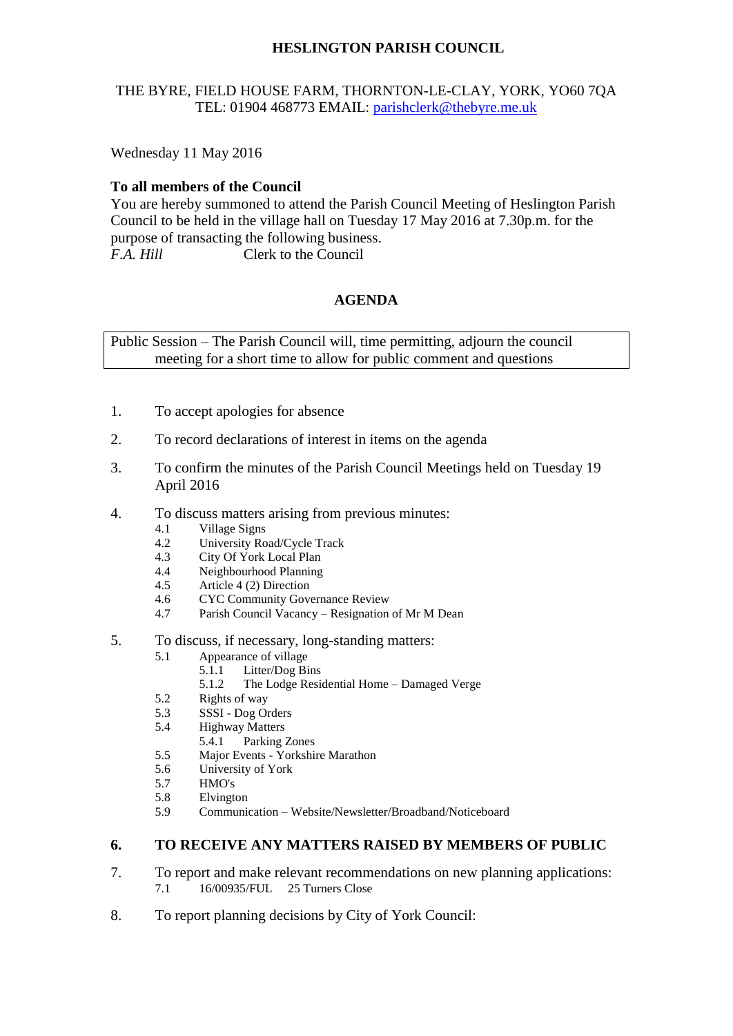# **HESLINGTON PARISH COUNCIL**

## THE BYRE, FIELD HOUSE FARM, THORNTON-LE-CLAY, YORK, YO60 7QA TEL: 01904 468773 EMAIL: [parishclerk@thebyre.me.uk](mailto:parishclerk@thebyre.me.uk)

Wednesday 11 May 2016

## **To all members of the Council**

You are hereby summoned to attend the Parish Council Meeting of Heslington Parish Council to be held in the village hall on Tuesday 17 May 2016 at 7.30p.m. for the purpose of transacting the following business. *F.A. Hill* Clerk to the Council

#### **AGENDA**

Public Session – The Parish Council will, time permitting, adjourn the council meeting for a short time to allow for public comment and questions

- 1. To accept apologies for absence
- 2. To record declarations of interest in items on the agenda
- 3. To confirm the minutes of the Parish Council Meetings held on Tuesday 19 April 2016
- 4. To discuss matters arising from previous minutes:
	- 4.1 Village Signs
	- 4.2 University Road/Cycle Track
	- 4.3 City Of York Local Plan<br>4.4 Neighbourhood Planning
	- 4.4 Neighbourhood Planning<br>4.5 Article 4 (2) Direction
	- Article 4 (2) Direction
	- 4.6 CYC Community Governance Review
	- 4.7 Parish Council Vacancy Resignation of Mr M Dean
- 5. To discuss, if necessary, long-standing matters:
	- 5.1 Appearance of village
		- 5.1.1 Litter/Dog Bins
		- 5.1.2 The Lodge Residential Home Damaged Verge
	- 5.2 Rights of way
	- 5.3 SSSI Dog Orders
	- 5.4 Highway Matters
		- 5.4.1 Parking Zones
	- 5.5 Major Events Yorkshire Marathon
	- 5.6 University of York
	- 5.7 HMO's
	- 5.8 Elvington
	- 5.9 Communication Website/Newsletter/Broadband/Noticeboard

#### **6. TO RECEIVE ANY MATTERS RAISED BY MEMBERS OF PUBLIC**

- 7. To report and make relevant recommendations on new planning applications: 7.1 16/00935/FUL 25 Turners Close
- 8. To report planning decisions by City of York Council: